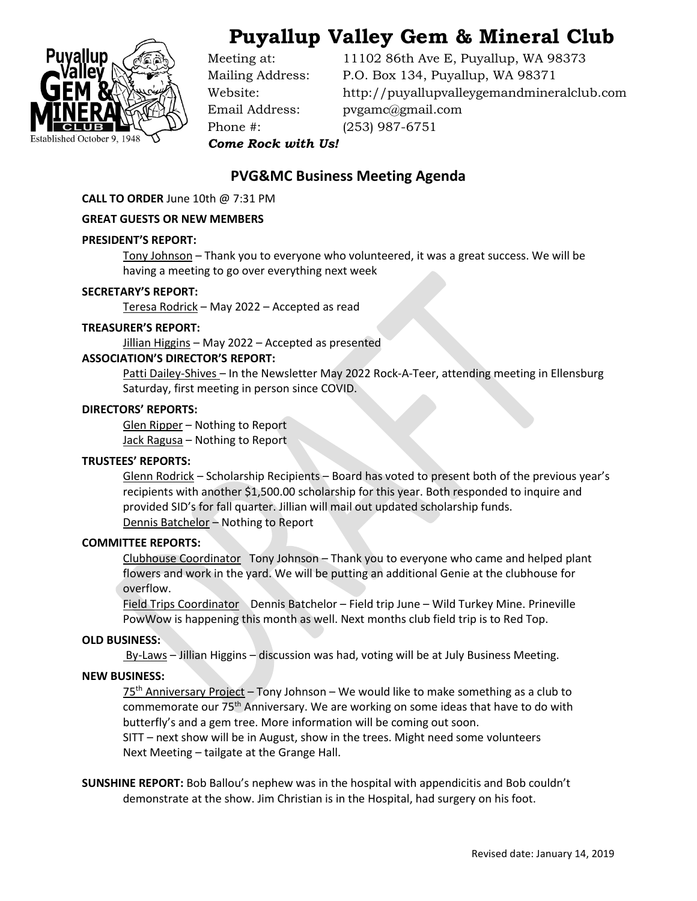

# **Puyallup Valley Gem & Mineral Club**

Phone #: (253) 987-6751

Meeting at: 11102 86th Ave E, Puyallup, WA 98373 Mailing Address: P.O. Box 134, Puyallup, WA 98371 Website: http://puyallupvalleygemandmineralclub.com Email Address: pvgamc@gmail.com

*Come Rock with Us!*

## **PVG&MC Business Meeting Agenda**

**CALL TO ORDER** June 10th @ 7:31 PM

#### **GREAT GUESTS OR NEW MEMBERS**

#### **PRESIDENT'S REPORT:**

Tony Johnson – Thank you to everyone who volunteered, it was a great success. We will be having a meeting to go over everything next week

#### **SECRETARY'S REPORT:**

Teresa Rodrick – May 2022 – Accepted as read

#### **TREASURER'S REPORT:**

Jillian Higgins - May 2022 - Accepted as presented

#### **ASSOCIATION'S DIRECTOR'S REPORT:**

Patti Dailey-Shives – In the Newsletter May 2022 Rock-A-Teer, attending meeting in Ellensburg Saturday, first meeting in person since COVID.

#### **DIRECTORS' REPORTS:**

Glen Ripper – Nothing to Report Jack Ragusa - Nothing to Report

### **TRUSTEES' REPORTS:**

Glenn Rodrick – Scholarship Recipients – Board has voted to present both of the previous year's recipients with another \$1,500.00 scholarship for this year. Both responded to inquire and provided SID's for fall quarter. Jillian will mail out updated scholarship funds. Dennis Batchelor – Nothing to Report

#### **COMMITTEE REPORTS:**

Clubhouse Coordinator Tony Johnson – Thank you to everyone who came and helped plant flowers and work in the yard. We will be putting an additional Genie at the clubhouse for overflow.

Field Trips Coordinator Dennis Batchelor - Field trip June - Wild Turkey Mine. Prineville PowWow is happening this month as well. Next months club field trip is to Red Top.

#### **OLD BUSINESS:**

 $By-Laws - Jillian Higgsins - discussion was had, voting will be at July Business Meeting.$ 

### **NEW BUSINESS:**

75th Anniversary Project – Tony Johnson – We would like to make something as a club to commemorate our 75<sup>th</sup> Anniversary. We are working on some ideas that have to do with butterfly's and a gem tree. More information will be coming out soon.

SITT – next show will be in August, show in the trees. Might need some volunteers Next Meeting – tailgate at the Grange Hall.

**SUNSHINE REPORT:** Bob Ballou's nephew was in the hospital with appendicitis and Bob couldn't demonstrate at the show. Jim Christian is in the Hospital, had surgery on his foot.